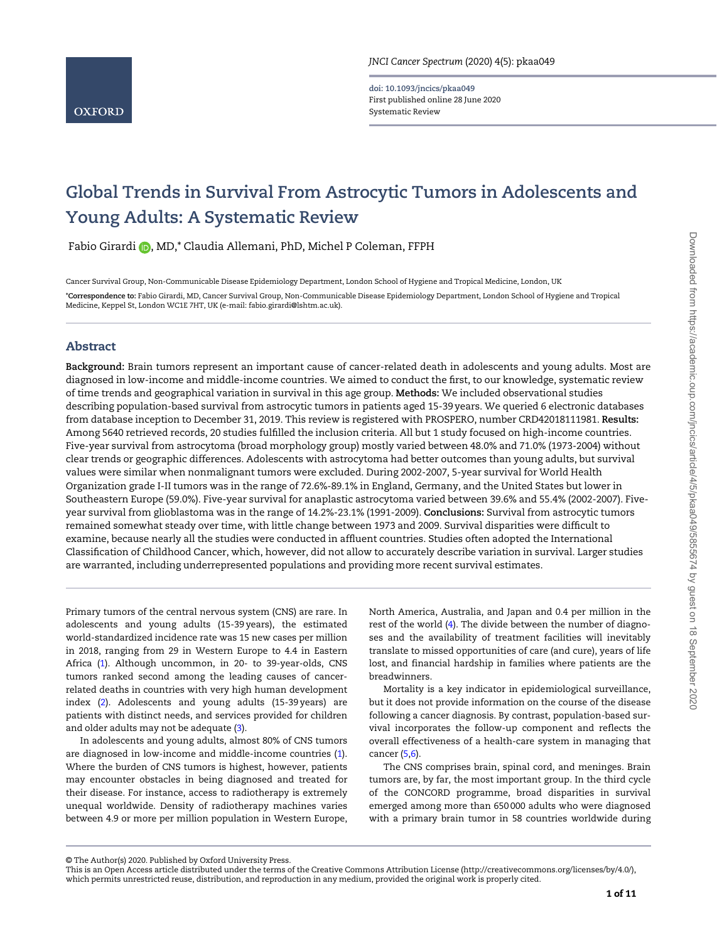doi: 10.1093/jncics/pkaa049 First published online 28 June 2020 Systematic Review

# Global Trends in Survival From Astrocytic Tumors in Adolescents and Young Adults: A Systematic Review

Fabio Girardi (D, MD,\* Claudia Allemani, PhD, Michel P Coleman, FFPH

Cancer Survival Group, Non-Communicable Disease Epidemiology Department, London School of Hygiene and Tropical Medicine, London, UK \*Correspondence to: Fabio Girardi, MD, Cancer Survival Group, Non-Communicable Disease Epidemiology Department, London School of Hygiene and Tropical Medicine, Keppel St, London WC1E 7HT, UK (e-mail: [fabio.girardi@lshtm.ac.uk\).](mailto:fabio.girardi@lshtm.ac.uk)

# Abstract

Background: Brain tumors represent an important cause of cancer-related death in adolescents and young adults. Most are diagnosed in low-income and middle-income countries. We aimed to conduct the first, to our knowledge, systematic review of time trends and geographical variation in survival in this age group. Methods: We included observational studies describing population-based survival from astrocytic tumors in patients aged 15-39 years. We queried 6 electronic databases from database inception to December 31, 2019. This review is registered with PROSPERO, number CRD42018111981. Results: Among 5640 retrieved records, 20 studies fulfilled the inclusion criteria. All but 1 study focused on high-income countries. Five-year survival from astrocytoma (broad morphology group) mostly varied between 48.0% and 71.0% (1973-2004) without clear trends or geographic differences. Adolescents with astrocytoma had better outcomes than young adults, but survival values were similar when nonmalignant tumors were excluded. During 2002-2007, 5-year survival for World Health Organization grade I-II tumors was in the range of 72.6%-89.1% in England, Germany, and the United States but lower in Southeastern Europe (59.0%). Five-year survival for anaplastic astrocytoma varied between 39.6% and 55.4% (2002-2007). Fiveyear survival from glioblastoma was in the range of 14.2%-23.1% (1991-2009). Conclusions: Survival from astrocytic tumors remained somewhat steady over time, with little change between 1973 and 2009. Survival disparities were difficult to examine, because nearly all the studies were conducted in affluent countries. Studies often adopted the International Classification of Childhood Cancer, which, however, did not allow to accurately describe variation in survival. Larger studies are warranted, including underrepresented populations and providing more recent survival estimates.

Primary tumors of the central nervous system (CNS) are rare. In adolescents and young adults (15-39 years), the estimated world-standardized incidence rate was 15 new cases per million in 2018, ranging from 29 in Western Europe to 4.4 in Eastern Africa [\(1](#page-9-0)). Although uncommon, in 20- to 39-year-olds, CNS tumors ranked second among the leading causes of cancerrelated deaths in countries with very high human development index ([2\)](#page-9-0). Adolescents and young adults (15-39 years) are patients with distinct needs, and services provided for children and older adults may not be adequate ([3\)](#page-9-0).

In adolescents and young adults, almost 80% of CNS tumors are diagnosed in low-income and middle-income countries [\(1](#page-9-0)). Where the burden of CNS tumors is highest, however, patients may encounter obstacles in being diagnosed and treated for their disease. For instance, access to radiotherapy is extremely unequal worldwide. Density of radiotherapy machines varies between 4.9 or more per million population in Western Europe,

North America, Australia, and Japan and 0.4 per million in the rest of the world [\(4](#page-9-0)). The divide between the number of diagnoses and the availability of treatment facilities will inevitably translate to missed opportunities of care (and cure), years of life lost, and financial hardship in families where patients are the breadwinners.

Mortality is a key indicator in epidemiological surveillance, but it does not provide information on the course of the disease following a cancer diagnosis. By contrast, population-based survival incorporates the follow-up component and reflects the overall effectiveness of a health-care system in managing that cancer [\(5,6](#page-9-0)).

The CNS comprises brain, spinal cord, and meninges. Brain tumors are, by far, the most important group. In the third cycle of the CONCORD programme, broad disparities in survival emerged among more than 650 000 adults who were diagnosed with a primary brain tumor in 58 countries worldwide during

<sup>©</sup> The Author(s) 2020. Published by Oxford University Press.

This is an Open Access article distributed under the terms of the Creative Commons Attribution License (http://creativecommons.org/licenses/by/4.0/), which permits unrestricted reuse, distribution, and reproduction in any medium, provided the original work is properly cited.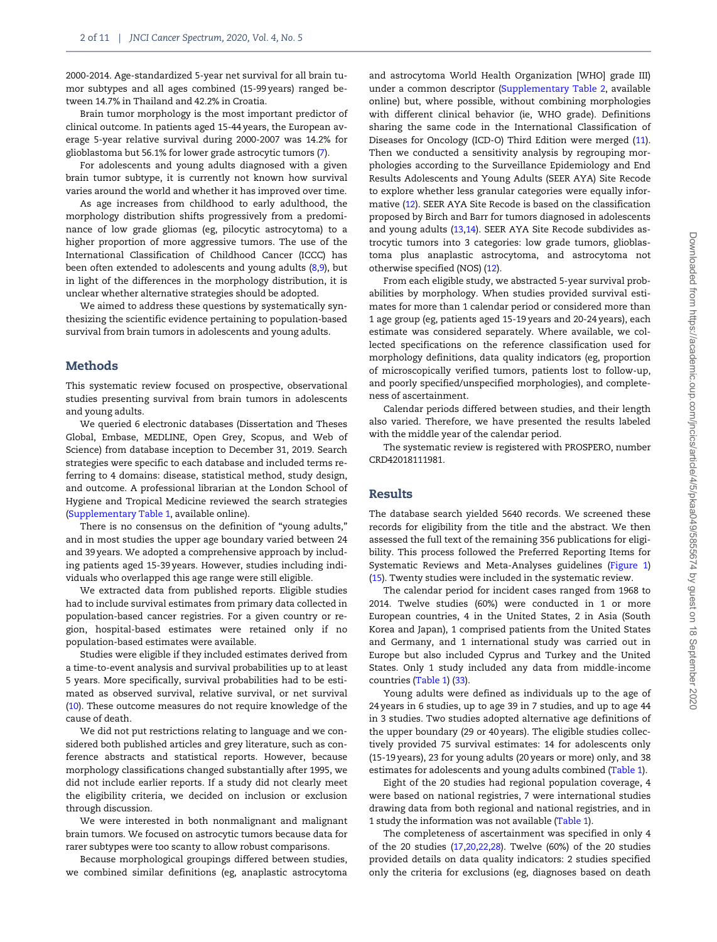2000-2014. Age-standardized 5-year net survival for all brain tumor subtypes and all ages combined (15-99 years) ranged between 14.7% in Thailand and 42.2% in Croatia.

Brain tumor morphology is the most important predictor of clinical outcome. In patients aged 15-44 years, the European average 5-year relative survival during 2000-2007 was 14.2% for glioblastoma but 56.1% for lower grade astrocytic tumors ([7\)](#page-9-0).

For adolescents and young adults diagnosed with a given brain tumor subtype, it is currently not known how survival varies around the world and whether it has improved over time.

As age increases from childhood to early adulthood, the morphology distribution shifts progressively from a predominance of low grade gliomas (eg, pilocytic astrocytoma) to a higher proportion of more aggressive tumors. The use of the International Classification of Childhood Cancer (ICCC) has been often extended to adolescents and young adults [\(8,9\)](#page-10-0), but in light of the differences in the morphology distribution, it is unclear whether alternative strategies should be adopted.

We aimed to address these questions by systematically synthesizing the scientific evidence pertaining to population-based survival from brain tumors in adolescents and young adults.

#### Methods

This systematic review focused on prospective, observational studies presenting survival from brain tumors in adolescents and young adults.

We queried 6 electronic databases (Dissertation and Theses Global, Embase, MEDLINE, Open Grey, Scopus, and Web of Science) from database inception to December 31, 2019. Search strategies were specific to each database and included terms referring to 4 domains: disease, statistical method, study design, and outcome. A professional librarian at the London School of Hygiene and Tropical Medicine reviewed the search strategies (Supplementary Table 1, available online).

There is no consensus on the definition of "young adults," and in most studies the upper age boundary varied between 24 and 39 years. We adopted a comprehensive approach by including patients aged 15-39 years. However, studies including individuals who overlapped this age range were still eligible.

We extracted data from published reports. Eligible studies had to include survival estimates from primary data collected in population-based cancer registries. For a given country or region, hospital-based estimates were retained only if no population-based estimates were available.

Studies were eligible if they included estimates derived from a time-to-event analysis and survival probabilities up to at least 5 years. More specifically, survival probabilities had to be estimated as observed survival, relative survival, or net survival ([10](#page-10-0)). These outcome measures do not require knowledge of the cause of death.

We did not put restrictions relating to language and we considered both published articles and grey literature, such as conference abstracts and statistical reports. However, because morphology classifications changed substantially after 1995, we did not include earlier reports. If a study did not clearly meet the eligibility criteria, we decided on inclusion or exclusion through discussion.

We were interested in both nonmalignant and malignant brain tumors. We focused on astrocytic tumors because data for rarer subtypes were too scanty to allow robust comparisons.

Because morphological groupings differed between studies, we combined similar definitions (eg, anaplastic astrocytoma

and astrocytoma World Health Organization [WHO] grade III) under a common descriptor (Supplementary Table 2, available online) but, where possible, without combining morphologies with different clinical behavior (ie, WHO grade). Definitions sharing the same code in the International Classification of Diseases for Oncology (ICD-O) Third Edition were merged ([11](#page-10-0)). Then we conducted a sensitivity analysis by regrouping morphologies according to the Surveillance Epidemiology and End Results Adolescents and Young Adults (SEER AYA) Site Recode to explore whether less granular categories were equally informative ([12\)](#page-10-0). SEER AYA Site Recode is based on the classification proposed by Birch and Barr for tumors diagnosed in adolescents and young adults ([13,14](#page-10-0)). SEER AYA Site Recode subdivides astrocytic tumors into 3 categories: low grade tumors, glioblastoma plus anaplastic astrocytoma, and astrocytoma not otherwise specified (NOS) [\(12\)](#page-10-0).

From each eligible study, we abstracted 5-year survival probabilities by morphology. When studies provided survival estimates for more than 1 calendar period or considered more than 1 age group (eg, patients aged 15-19 years and 20-24 years), each estimate was considered separately. Where available, we collected specifications on the reference classification used for morphology definitions, data quality indicators (eg, proportion of microscopically verified tumors, patients lost to follow-up, and poorly specified/unspecified morphologies), and completeness of ascertainment.

Calendar periods differed between studies, and their length also varied. Therefore, we have presented the results labeled with the middle year of the calendar period.

The systematic review is registered with PROSPERO, number CRD42018111981.

#### Results

The database search yielded 5640 records. We screened these records for eligibility from the title and the abstract. We then assessed the full text of the remaining 356 publications for eligibility. This process followed the Preferred Reporting Items for Systematic Reviews and Meta-Analyses guidelines [\(Figure 1](#page-2-0)) ([15](#page-10-0)). Twenty studies were included in the systematic review.

The calendar period for incident cases ranged from 1968 to 2014. Twelve studies (60%) were conducted in 1 or more European countries, 4 in the United States, 2 in Asia (South Korea and Japan), 1 comprised patients from the United States and Germany, and 1 international study was carried out in Europe but also included Cyprus and Turkey and the United States. Only 1 study included any data from middle-income countries [\(Table 1](#page-3-0)) [\(33](#page-10-0)).

Young adults were defined as individuals up to the age of 24 years in 6 studies, up to age 39 in 7 studies, and up to age 44 in 3 studies. Two studies adopted alternative age definitions of the upper boundary (29 or 40 years). The eligible studies collectively provided 75 survival estimates: 14 for adolescents only (15-19 years), 23 for young adults (20 years or more) only, and 38 estimates for adolescents and young adults combined [\(Table 1\)](#page-3-0).

Eight of the 20 studies had regional population coverage, 4 were based on national registries, 7 were international studies drawing data from both regional and national registries, and in 1 study the information was not available ([Table 1\)](#page-3-0).

The completeness of ascertainment was specified in only 4 of the 20 studies ([17,20,22,28](#page-10-0)). Twelve (60%) of the 20 studies provided details on data quality indicators: 2 studies specified only the criteria for exclusions (eg, diagnoses based on death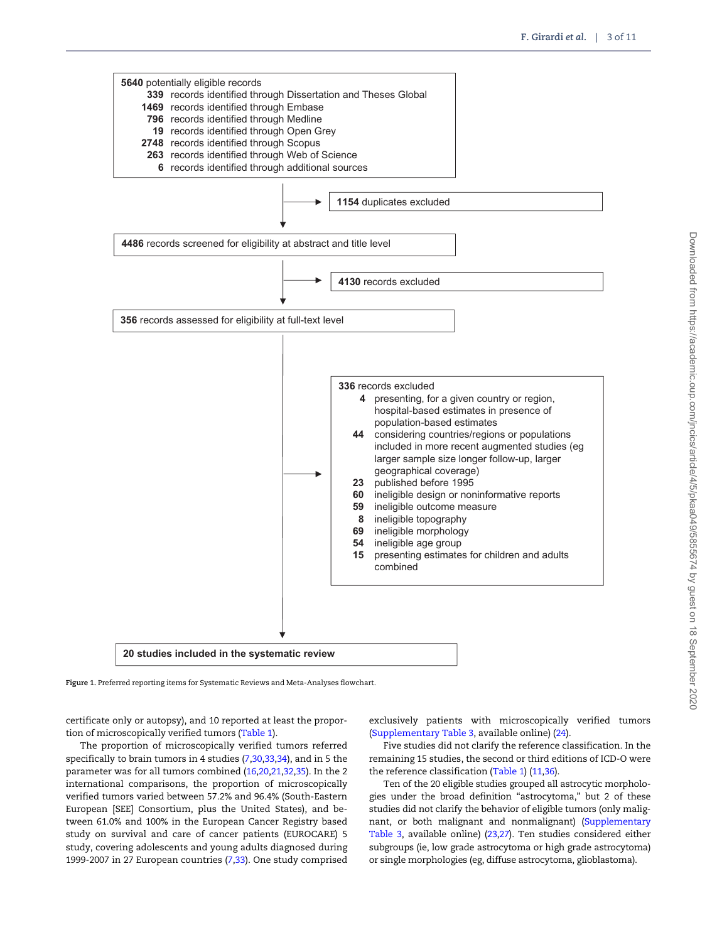<span id="page-2-0"></span>

Figure 1. Preferred reporting items for Systematic Reviews and Meta-Analyses flowchart.

certificate only or autopsy), and 10 reported at least the proportion of microscopically verified tumors [\(Table 1](#page-3-0)).

The proportion of microscopically verified tumors referred specifically to brain tumors in 4 studies [\(7](#page-9-0),[30,33,34\)](#page-10-0), and in 5 the parameter was for all tumors combined ([16,20,21,32,35](#page-10-0)). In the 2 international comparisons, the proportion of microscopically verified tumors varied between 57.2% and 96.4% (South-Eastern European [SEE] Consortium, plus the United States), and between 61.0% and 100% in the European Cancer Registry based study on survival and care of cancer patients (EUROCARE) 5 study, covering adolescents and young adults diagnosed during 1999-2007 in 27 European countries [\(7](#page-9-0)[,33\)](#page-10-0). One study comprised exclusively patients with microscopically verified tumors (Supplementary Table 3, available online) ([24](#page-10-0)).

Five studies did not clarify the reference classification. In the remaining 15 studies, the second or third editions of ICD-O were the reference classification [\(Table 1\)](#page-3-0) [\(11,36\)](#page-10-0).

Ten of the 20 eligible studies grouped all astrocytic morphologies under the broad definition "astrocytoma," but 2 of these studies did not clarify the behavior of eligible tumors (only malignant, or both malignant and nonmalignant) (Supplementary Table 3, available online) ([23,27\)](#page-10-0). Ten studies considered either subgroups (ie, low grade astrocytoma or high grade astrocytoma) or single morphologies (eg, diffuse astrocytoma, glioblastoma).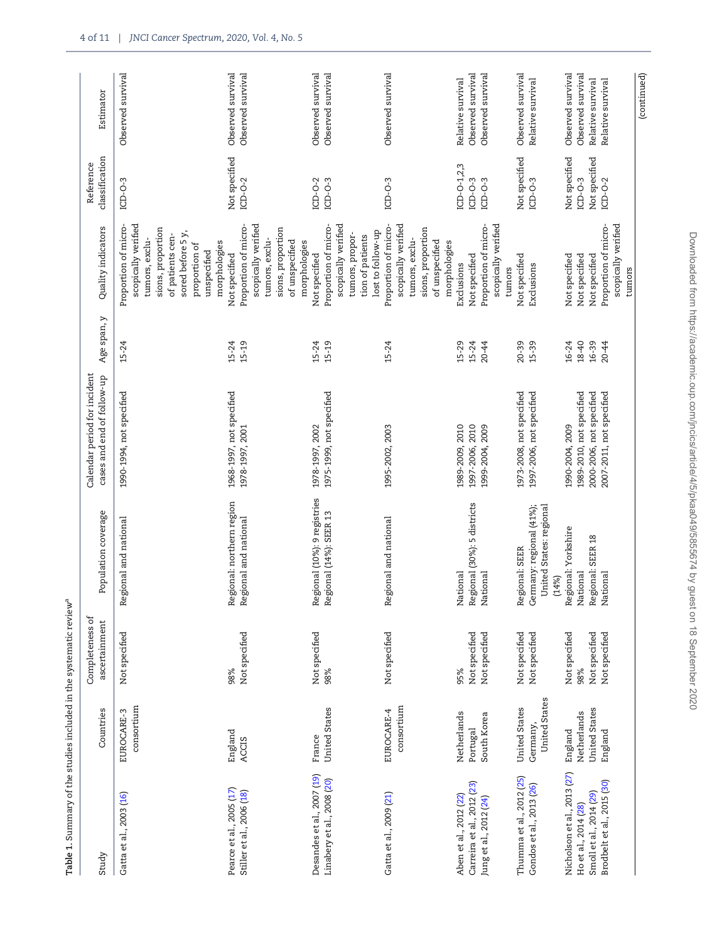<span id="page-3-0"></span>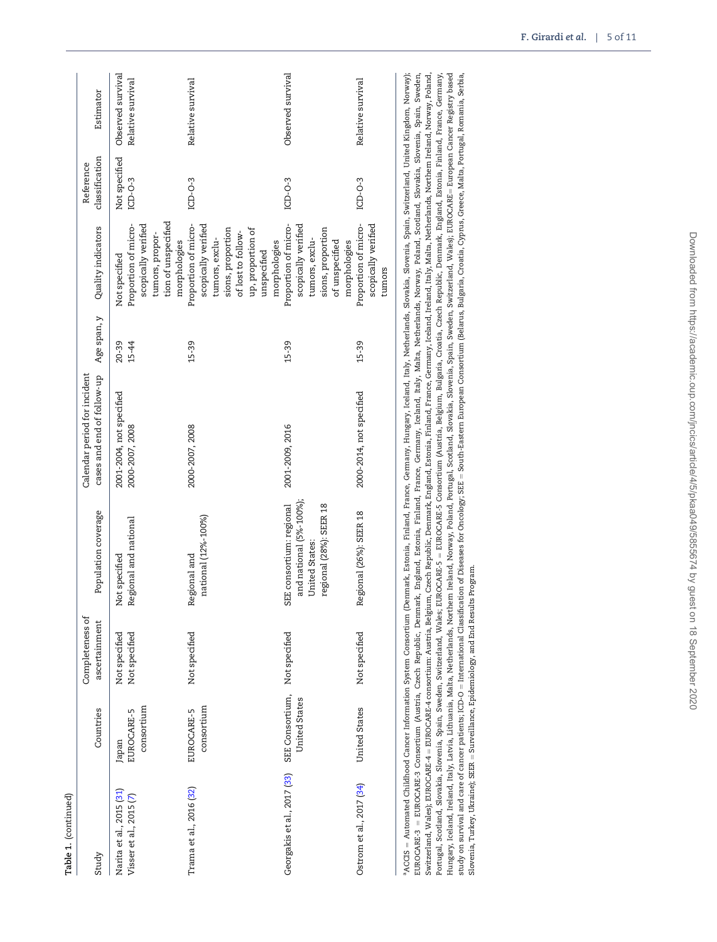| Table 1. (continued)                                                          |                                   |                                  |                                                                                                  |                                                                                                                                              |                    |                                                                                                                                        |                             |                                        |
|-------------------------------------------------------------------------------|-----------------------------------|----------------------------------|--------------------------------------------------------------------------------------------------|----------------------------------------------------------------------------------------------------------------------------------------------|--------------------|----------------------------------------------------------------------------------------------------------------------------------------|-----------------------------|----------------------------------------|
| Study                                                                         | Countries                         | Completeness of<br>ascertainment | Population coverage                                                                              | Calendar period for incident<br>cases and end of follow-up                                                                                   | Age span, y        | Quality indicators                                                                                                                     | classification<br>Reference | Estimator                              |
| Narita et al., 2015 (31)<br>Visser et al., 2015 (7)                           | consortium<br>EUROCARE-5<br>Japan | Not specified<br>Not specified   | Regional and national<br>Not specified                                                           | 2001-2004, not specified<br>2000-2007, 2008                                                                                                  | $20 - 39$<br>15-44 | tion of unspecified<br>scopically verified<br>Proportion of micro-<br>tumors, propor-<br>Not specified                                 | Not specified<br>$ICD-O-3$  | Observed survival<br>Relative survival |
| Trama et al., 2016 (32)                                                       | consortium<br>EUROCARE-5          | Not specified                    | national (12%-100%)<br>Regional and                                                              | 2000-2007, 2008                                                                                                                              | 15-39              | Proportion of micro-<br>scopically verified<br>sions, proportion<br>of lost to follow-<br>tumors, exclu-<br>morphologies               | $ICD-O-3$                   | Relative survival                      |
| Georgakis et al., 2017 (33)                                                   | SEE Consortium,<br>United States  | Not specified                    | and national (5%-100%);<br>SEE consortium: regional<br>regional (28%): SEER 18<br>United States: | 2001-2009, 2016                                                                                                                              | $15 - 39$          | Proportion of micro-<br>scopically verified<br>sions, proportion<br>up, proportion of<br>tumors, exclu-<br>morphologies<br>unspecified | $LCD-0-3$                   | Observed survival                      |
| Ostrom et al., 2017 (34)                                                      | United States                     | Not specified                    | Regional (26%): SEER 18                                                                          | 2000-2014, not specified                                                                                                                     | $15 - 39$          | Proportion of micro-<br>scopically verified<br>of unspecified<br>morphologies<br>tumors                                                | $LCD-O-3$                   | Relative survival                      |
| ${}^{\rm a}$ ACCIS = Automated Childhood Cancer Information System Consortium |                                   |                                  |                                                                                                  | (Denmark, Estonia, Finland, France, Germany, Hungary, Iceland, Italy, Netherlands, Slovakia, Slovenia, Switzerland, United Kingdom, Norway); |                    |                                                                                                                                        |                             |                                        |

лссыз = лишипаем сиципоми сансен иноинации долевительствами, ганда, ганда, поддалу, генаци, далу, мешенация, эмочена, эмоденаци, полиму, ногиму, долиму, долиму,<br>EUROCARE-3 = EUROCARE-3 Consortium (Austria, Czech Republic, Switzerland, Wales); EUROCARE-4 = EUROCARE-4 consortium: Austria, Belgium, Czech Republic, Denmark, England, Estonia, Finland, France, Germany, Iceland, Iraland, Italy, Malta, Netherlands, Northern Ireland, Norway, Poland, Portugal, Scotland, Slovenia, Spain, Sweden, Switzerland, Wales; EUROCARE-5 = EUROCARE-5 Consortium (Austria, Belgium, Bulgaria, Creatia, Crech Republic, Denmark, England, Estonia, France, Germany, Germany, Hungary, Iceland, Ireland, Italy, Latvia, Lithuania, Malta, Netherlands, Northem Ireland, Noway, Poland, Scotland, Slovakia, Slovenia, Spain, Sweden, Switzerland, Wales); EUROCARE= European Cancer Registry based study on survival and care of cancer patients; ICD-O = International Classification of Diseases for Oncology; SEE = South-Eastern European Consortium (Belarus, Bulgaria, Cyoatia, Cyprus, Greece, Malta, Portugal, Romania, S  $^a$ ACCIS = Automated Childhood Cancer Information System Consortium (Denmark, Estonia, Finland, France, Germany, Hungary, Iceland, Italy, Netherlands, Slovakia, Slovenia, Spain, Switzerland, United Kingdom, Norway); EUROCARE-3 = EUROCARE-3 Consortium (Austria, Czech Republic, Denmark, England, Estonia, Finland, France, Germany, Iceland, Italy, Malta, Netherlands, Norway, Poland, Scotland, Slovenia, Spain, Sweden, Switzerland, Wales); EUROCARE-4 – EUROCARE-4 consortium: Austria, Belgium, Czech Republic, Denmark, England, Estonia, Finland, France, Germany, Iceland, Ireland, Iraly, Malta, Netherlands, Northern Ireland, Norway, Poland, Portugal, Scotland, Slovakia, Slovenia, Spain, Sweden, Switzerland, Wales; EUROCARE-5 ¼ EUROCARE-5 Consortium (Austria, Belgium, Bulgaria, Croatia, Czech Republic, Denmark, England, Estonia, Finland, France, Germany, Hungary, Iceland, Ireland, Italy, Latvia, Lithuania, Malta, Netherlands, Northern Ireland, Norway, Poland, Scotland, Slovakia, Slovenia, Spain, Switzerland, Wales); EUROCARE= European Cancer Registry based study on survival and care of cancer patients; ICD-O = International Classification of Diseases for Oncology; SEE = South-Eastern European Consortium (Belarus, Bulgaria, Cyperia, Cyprus, Greece, Malta, Portugal, Romania, S Slovenia, Turkey, Ukraine); SEER = Surveillance, Epidemiology, and End Results Program. Slovenia, Turkey, Ukraine); SEER ¼ Surveillance, Epidemiology, and End Results Program.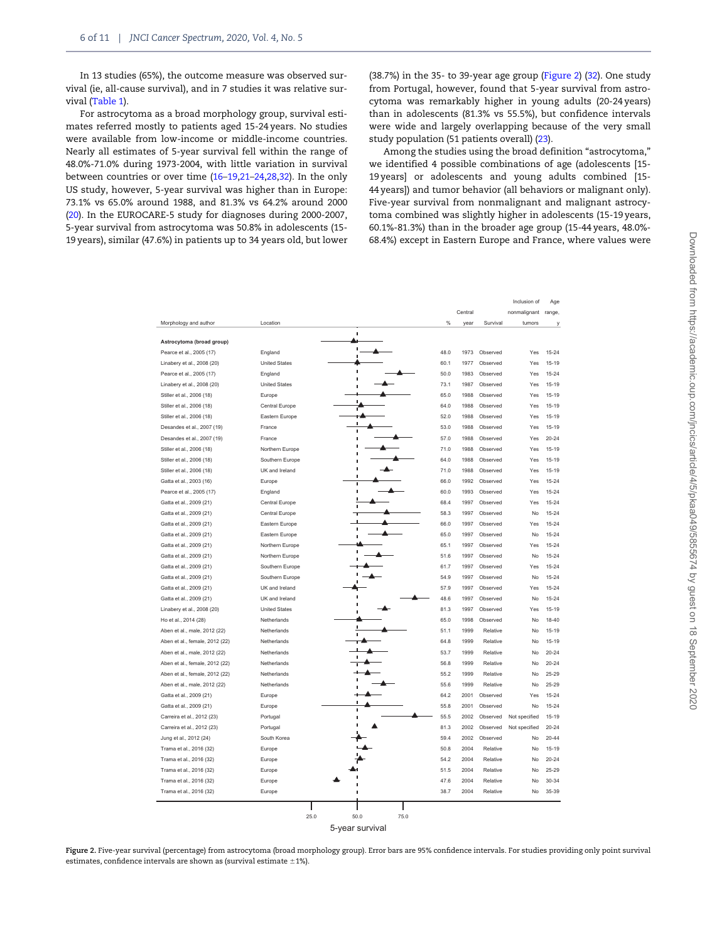In 13 studies (65%), the outcome measure was observed survival (ie, all-cause survival), and in 7 studies it was relative survival [\(Table 1\)](#page-3-0).

For astrocytoma as a broad morphology group, survival estimates referred mostly to patients aged 15-24 years. No studies were available from low-income or middle-income countries. Nearly all estimates of 5-year survival fell within the range of 48.0%-71.0% during 1973-2004, with little variation in survival between countries or over time ([16](#page-10-0)–[19,21–24,28,32](#page-10-0)). In the only US study, however, 5-year survival was higher than in Europe: 73.1% vs 65.0% around 1988, and 81.3% vs 64.2% around 2000 ([20](#page-10-0)). In the EUROCARE-5 study for diagnoses during 2000-2007, 5-year survival from astrocytoma was 50.8% in adolescents (15- 19 years), similar (47.6%) in patients up to 34 years old, but lower

(38.7%) in the 35- to 39-year age group (Figure 2) [\(32](#page-10-0)). One study from Portugal, however, found that 5-year survival from astrocytoma was remarkably higher in young adults (20-24 years) than in adolescents (81.3% vs 55.5%), but confidence intervals were wide and largely overlapping because of the very small study population (51 patients overall) ([23](#page-10-0)).

Among the studies using the broad definition "astrocytoma," we identified 4 possible combinations of age (adolescents [15- 19 years] or adolescents and young adults combined [15- 44 years]) and tumor behavior (all behaviors or malignant only). Five-year survival from nonmalignant and malignant astrocytoma combined was slightly higher in adolescents (15-19 years, 60.1%-81.3%) than in the broader age group (15-44 years, 48.0%- 68.4%) except in Eastern Europe and France, where values were

|                                |                      |                      |         |          | Inclusion of  | Age       |
|--------------------------------|----------------------|----------------------|---------|----------|---------------|-----------|
|                                |                      |                      | Central |          | nonmalignant  | range.    |
| Morphology and author          | Location             | $\frac{9}{6}$        | year    | Survival | tumors        | у         |
|                                |                      | f,                   |         |          |               |           |
| Astrocytoma (broad group)      |                      | п                    |         |          |               |           |
| Pearce et al., 2005 (17)       | England              | 48.0                 | 1973    | Observed | Yes           | 15-24     |
| Linabery et al., 2008 (20)     | <b>United States</b> | 60.1                 | 1977    | Observed | Yes           | $15 - 19$ |
| Pearce et al., 2005 (17)       | England              | 50.0                 | 1983    | Observed | Yes           | $15 - 24$ |
| Linabery et al., 2008 (20)     | <b>United States</b> | 73.1                 | 1987    | Observed | Yes           | $15 - 19$ |
| Stiller et al., 2006 (18)      | Europe               | 65.0                 | 1988    | Observed | Yes           | $15 - 19$ |
| Stiller et al., 2006 (18)      | Central Europe       | 64.0                 | 1988    | Observed | Yes           | $15 - 19$ |
| Stiller et al., 2006 (18)      | Eastern Europe       | 52.0                 | 1988    | Observed | Yes           | $15 - 19$ |
| Desandes et al., 2007 (19)     | France               | 53.0<br>ï            | 1988    | Observed | Yes           | $15 - 19$ |
| Desandes et al., 2007 (19)     | France               | 57.0                 | 1988    | Observed | Yes           | $20 - 24$ |
| Stiller et al., 2006 (18)      | Northern Europe      | 71.0                 | 1988    | Observed | Yes           | 15-19     |
| Stiller et al., 2006 (18)      | Southern Europe      | 64.0                 | 1988    | Observed | Yes           | $15 - 19$ |
| Stiller et al., 2006 (18)      | UK and Ireland       | 71.0                 | 1988    | Observed | Yes           | $15 - 19$ |
| Gatta et al., 2003 (16)        | Europe               | 66.0<br>ï            | 1992    | Observed | Yes           | $15 - 24$ |
| Pearce et al., 2005 (17)       | England              | 60.0<br>п            | 1993    | Observed | Yes           | $15 - 24$ |
| Gatta et al., 2009 (21)        | Central Europe       | 68.4                 | 1997    | Observed | Yes           | 15-24     |
| Gatta et al., 2009 (21)        | Central Europe       | 58.3                 | 1997    | Observed | No            | 15-24     |
| Gatta et al., 2009 (21)        | Eastern Europe       | 66.0                 | 1997    | Observed | Yes           | $15 - 24$ |
| Gatta et al., 2009 (21)        | Eastern Europe       | 65.0                 | 1997    | Observed | No            | $15 - 24$ |
| Gatta et al., 2009 (21)        | Northern Europe      | 65.1                 | 1997    | Observed | Yes           | 15-24     |
| Gatta et al., 2009 (21)        | Northern Europe      | 51.6                 | 1997    | Observed | No            | 15-24     |
| Gatta et al., 2009 (21)        | Southern Europe      | 61.7                 | 1997    | Observed | Yes           | 15-24     |
| Gatta et al., 2009 (21)        | Southern Europe      | 54.9                 | 1997    | Observed | No            | 15-24     |
| Gatta et al., 2009 (21)        | UK and Ireland       | 57.9                 | 1997    | Observed | Yes           | 15-24     |
| Gatta et al., 2009 (21)        | UK and Ireland       | 48.6                 | 1997    | Observed | No            | 15-24     |
| Linabery et al., 2008 (20)     | <b>United States</b> | 81.3                 | 1997    | Observed | Yes           | 15-19     |
| Ho et al., 2014 (28)           | Netherlands          | 65.0                 | 1998    | Observed | No            | $18 - 40$ |
| Aben et al., male, 2012 (22)   | Netherlands          | 51.1                 | 1999    | Relative | No            | 15-19     |
| Aben et al., female, 2012 (22) | Netherlands          | 64.8                 | 1999    | Relative | No            | 15-19     |
| Aben et al., male, 2012 (22)   | Netherlands          | 53.7                 | 1999    | Relative | No            | $20 - 24$ |
| Aben et al., female, 2012 (22) | Netherlands          | 56.8                 | 1999    | Relative | No            | $20 - 24$ |
| Aben et al., female, 2012 (22) | Netherlands          | 55.2                 | 1999    | Relative | No            | $25 - 29$ |
| Aben et al., male, 2012 (22)   | Netherlands          | 55.6                 | 1999    | Relative | No            | $25 - 29$ |
| Gatta et al., 2009 (21)        | Europe               | 64.2                 | 2001    | Observed | Yes           | 15-24     |
| Gatta et al., 2009 (21)        | Europe               | 55.8                 | 2001    | Observed | No            | $15 - 24$ |
| Carreira et al., 2012 (23)     | Portugal             | 55.5                 | 2002    | Observed | Not specified | $15 - 19$ |
| Carreira et al., 2012 (23)     | Portugal             | 81.3                 | 2002    | Observed | Not specified | $20 - 24$ |
|                                | South Korea          | 59.4                 | 2002    | Observed | No            | $20 - 44$ |
| Jung et al., 2012 (24)         | Europe               | 50.8                 | 2004    | Relative | No            | $15 - 19$ |
| Trama et al., 2016 (32)        |                      |                      |         |          |               |           |
| Trama et al., 2016 (32)        | Europe               | 54.2                 | 2004    | Relative | No            | $20 - 24$ |
| Trama et al., 2016 (32)        | Europe               | 51.5                 | 2004    | Relative | No            | $25 - 29$ |
| Trama et al., 2016 (32)        | Europe               | 47.6                 | 2004    | Relative | No            | $30 - 34$ |
| Trama et al., 2016 (32)        | Europe               | 38.7                 | 2004    | Relative | No            | 35-39     |
|                                |                      |                      |         |          |               |           |
|                                |                      | 50.0<br>25.0<br>75.0 |         |          |               |           |
|                                |                      | 5-year survival      |         |          |               |           |

Figure 2. Five-year survival (percentage) from astrocytoma (broad morphology group). Error bars are 95% confidence intervals. For studies providing only point survival estimates, confidence intervals are shown as (survival estimate  $\pm 1\%$ ).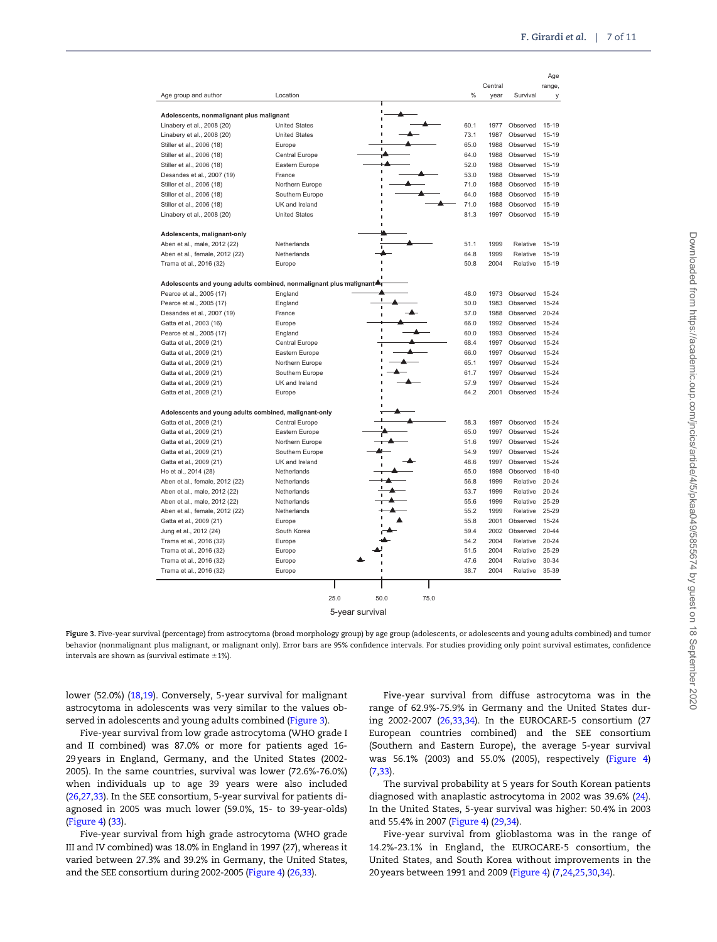$\Delta$ 

|                                                                    |                      |                 |      | Central |          | nya         |
|--------------------------------------------------------------------|----------------------|-----------------|------|---------|----------|-------------|
| Age group and author                                               | Location             |                 | %    | year    | Survival | range,<br>У |
|                                                                    |                      | п               |      |         |          |             |
| Adolescents, nonmalignant plus malignant                           |                      | ı               |      |         |          |             |
| Linabery et al., 2008 (20)                                         | <b>United States</b> | ı               | 60.1 | 1977    | Observed | $15 - 19$   |
| Linabery et al., 2008 (20)                                         | <b>United States</b> | ï               | 73.1 | 1987    | Observed | $15 - 19$   |
| Stiller et al., 2006 (18)                                          | Europe               | ï               | 65.0 | 1988    | Observed | $15 - 19$   |
| Stiller et al., 2006 (18)                                          | Central Europe       |                 | 64.0 | 1988    | Observed | $15 - 19$   |
| Stiller et al., 2006 (18)                                          | Eastern Europe       |                 | 52.0 | 1988    | Observed | $15 - 19$   |
| Desandes et al., 2007 (19)                                         | France               |                 | 53.0 | 1988    | Observed | $15 - 19$   |
| Stiller et al., 2006 (18)                                          | Northern Europe      |                 | 71.0 | 1988    | Observed | $15 - 19$   |
| Stiller et al., 2006 (18)                                          | Southern Europe      |                 | 64.0 | 1988    | Observed | $15 - 19$   |
| Stiller et al., 2006 (18)                                          | UK and Ireland       |                 | 71.0 | 1988    | Observed | $15 - 19$   |
| Linabery et al., 2008 (20)                                         | <b>United States</b> |                 | 81.3 | 1997    | Observed | 15-19       |
| Adolescents, malignant-only                                        |                      |                 |      |         |          |             |
| Aben et al., male, 2012 (22)                                       | Netherlands          | п<br><b>I</b>   | 51.1 | 1999    | Relative | $15 - 19$   |
| Aben et al., female, 2012 (22)                                     | Netherlands          |                 | 64.8 | 1999    | Relative | $15 - 19$   |
| Trama et al., 2016 (32)                                            | Europe               |                 | 50.8 | 2004    | Relative | $15 - 19$   |
| Adolescents and young adults combined, nonmalignant plus malignant |                      |                 |      |         |          |             |
| Pearce et al., 2005 (17)                                           | England              |                 | 48.0 | 1973    | Observed | $15 - 24$   |
|                                                                    |                      |                 | 50.0 | 1983    | Observed | $15 - 24$   |
| Pearce et al., 2005 (17)                                           | England              | $\blacksquare$  | 57.0 | 1988    |          |             |
| Desandes et al., 2007 (19)                                         | France               | f,              |      |         | Observed | $20 - 24$   |
| Gatta et al., 2003 (16)                                            | Europe               | f,              | 66.0 | 1992    | Observed | 15-24       |
| Pearce et al., 2005 (17)                                           | England              | п               | 60.0 | 1993    | Observed | 15-24       |
| Gatta et al., 2009 (21)                                            | Central Europe       | т               | 68.4 | 1997    | Observed | 15-24       |
| Gatta et al., 2009 (21)                                            | Eastern Europe       |                 | 66.0 | 1997    | Observed | 15-24       |
| Gatta et al., 2009 (21)                                            | Northern Europe      |                 | 65.1 | 1997    | Observed | 15-24       |
| Gatta et al., 2009 (21)                                            | Southern Europe      |                 | 61.7 | 1997    | Observed | 15-24       |
| Gatta et al., 2009 (21)                                            | UK and Ireland       |                 | 57.9 | 1997    | Observed | 15-24       |
| Gatta et al., 2009 (21)                                            | Europe               |                 | 64.2 | 2001    | Observed | 15-24       |
| Adolescents and young adults combined, malignant-only              |                      |                 |      |         |          |             |
| Gatta et al., 2009 (21)                                            | Central Europe       |                 | 58.3 | 1997    | Observed | 15-24       |
| Gatta et al., 2009 (21)                                            | Eastern Europe       |                 | 65.0 | 1997    | Observed | 15-24       |
| Gatta et al., 2009 (21)                                            | Northern Europe      |                 | 51.6 | 1997    | Observed | 15-24       |
| Gatta et al., 2009 (21)                                            | Southern Europe      |                 | 54.9 | 1997    | Observed | $15 - 24$   |
| Gatta et al., 2009 (21)                                            | UK and Ireland       |                 | 48.6 | 1997    | Observed | 15-24       |
| Ho et al., 2014 (28)                                               | Netherlands          |                 | 65.0 | 1998    | Observed | $18 - 40$   |
| Aben et al., female, 2012 (22)                                     | Netherlands          |                 | 56.8 | 1999    | Relative | 20-24       |
| Aben et al., male, 2012 (22)                                       | Netherlands          |                 | 53.7 | 1999    | Relative | $20 - 24$   |
| Aben et al., male, 2012 (22)                                       | Netherlands          |                 | 55.6 | 1999    | Relative | 25-29       |
| Aben et al., female, 2012 (22)                                     | Netherlands          |                 | 55.2 | 1999    | Relative | 25-29       |
| Gatta et al., 2009 (21)                                            | Europe               |                 | 55.8 | 2001    | Observed | 15-24       |
| Jung et al., 2012 (24)                                             | South Korea          |                 | 59.4 | 2002    | Observed | $20 - 44$   |
| Trama et al., 2016 (32)                                            | Europe               |                 | 54.2 | 2004    | Relative | 20-24       |
| Trama et al., 2016 (32)                                            | Europe               |                 | 51.5 | 2004    | Relative | $25 - 29$   |
| Trama et al., 2016 (32)                                            | Europe               |                 | 47.6 | 2004    | Relative | 30-34       |
| Trama et al., 2016 (32)                                            | Europe               |                 | 38.7 | 2004    | Relative | 35-39       |
|                                                                    |                      |                 |      |         |          |             |
|                                                                    | 25.0                 | 50.0<br>75.0    |      |         |          |             |
|                                                                    |                      | 5-year survival |      |         |          |             |

Figure 3. Five-year survival (percentage) from astrocytoma (broad morphology group) by age group (adolescents, or adolescents and young adults combined) and tumor behavior (nonmalignant plus malignant, or malignant only). Error bars are 95% confidence intervals. For studies providing only point survival estimates, confidence intervals are shown as (survival estimate  $\pm 1$ %).

lower (52.0%) [\(18,19](#page-10-0)). Conversely, 5-year survival for malignant astrocytoma in adolescents was very similar to the values observed in adolescents and young adults combined (Figure 3).

Five-year survival from low grade astrocytoma (WHO grade I and II combined) was 87.0% or more for patients aged 16- 29 years in England, Germany, and the United States (2002- 2005). In the same countries, survival was lower (72.6%-76.0%) when individuals up to age 39 years were also included ([26,27,33\)](#page-10-0). In the SEE consortium, 5-year survival for patients diagnosed in 2005 was much lower (59.0%, 15- to 39-year-olds) ([Figure 4\)](#page-7-0) [\(33\)](#page-10-0).

Five-year survival from high grade astrocytoma (WHO grade III and IV combined) was 18.0% in England in 1997 (27), whereas it varied between 27.3% and 39.2% in Germany, the United States, and the SEE consortium during 2002-2005 [\(Figure 4](#page-7-0)) ([26,33\)](#page-10-0).

Five-year survival from diffuse astrocytoma was in the range of 62.9%-75.9% in Germany and the United States during 2002-2007 [\(26,33,34](#page-10-0)). In the EUROCARE-5 consortium (27 European countries combined) and the SEE consortium (Southern and Eastern Europe), the average 5-year survival was 56.1% (2003) and 55.0% (2005), respectively ([Figure 4](#page-7-0)) ([7](#page-9-0)[,33](#page-10-0)).

The survival probability at 5 years for South Korean patients diagnosed with anaplastic astrocytoma in 2002 was 39.6% ([24](#page-10-0)). In the United States, 5-year survival was higher: 50.4% in 2003 and 55.4% in 2007 [\(Figure 4\)](#page-7-0) [\(29,34\)](#page-10-0).

Five-year survival from glioblastoma was in the range of 14.2%-23.1% in England, the EUROCARE-5 consortium, the United States, and South Korea without improvements in the 20 years between 1991 and 2009 ([Figure 4\)](#page-7-0) [\(7](#page-9-0)[,24,25,30,34\)](#page-10-0).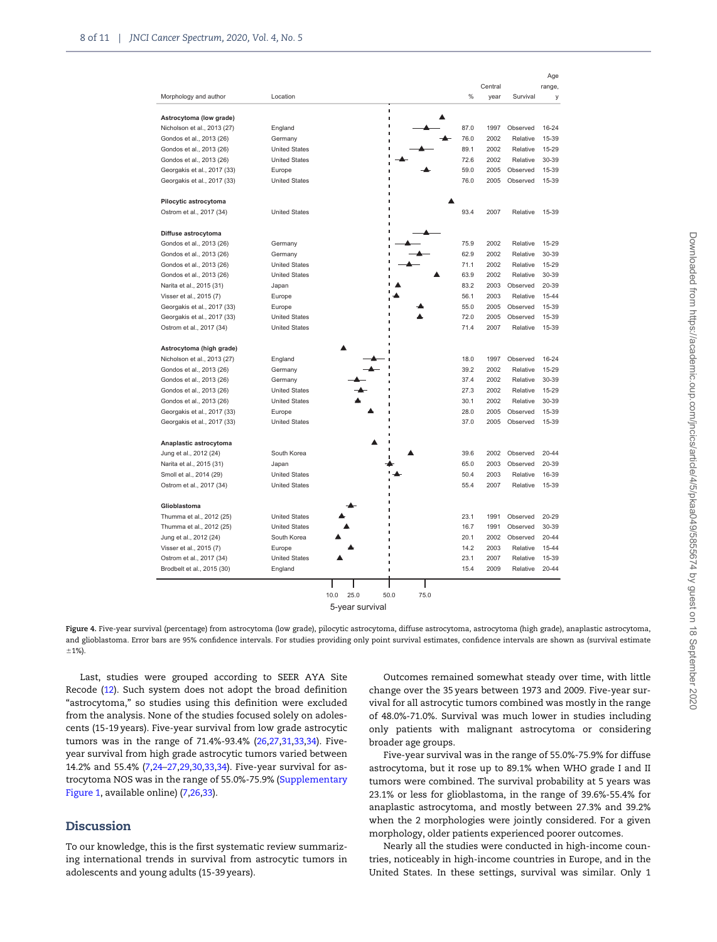<span id="page-7-0"></span>

|                             |                      | Central                       | Age<br>range, |
|-----------------------------|----------------------|-------------------------------|---------------|
| Morphology and author       | Location             | %<br>Survival<br>year         | у             |
| Astrocytoma (low grade)     |                      | ï<br>$\blacksquare$           |               |
| Nicholson et al., 2013 (27) | England              | I<br>87.0<br>1997<br>Observed | $16 - 24$     |
| Gondos et al., 2013 (26)    | Germany              | 76.0<br>2002<br>Relative      | 15-39         |
| Gondos et al., 2013 (26)    | <b>United States</b> | 89.1<br>2002<br>Relative      | 15-29         |
| Gondos et al., 2013 (26)    | <b>United States</b> | 72.6<br>2002<br>Relative      | 30-39         |
| Georgakis et al., 2017 (33) | Europe               | 59.0<br>2005<br>Observed      | 15-39         |
| Georgakis et al., 2017 (33) | <b>United States</b> | 76.0<br>2005<br>Observed      | 15-39         |
| Pilocytic astrocytoma       |                      |                               |               |
| Ostrom et al., 2017 (34)    | <b>United States</b> | 93.4<br>2007<br>Relative      | 15-39         |
| Diffuse astrocytoma         |                      |                               |               |
| Gondos et al., 2013 (26)    | Germany              | 75.9<br>2002<br>Relative      | 15-29         |
| Gondos et al., 2013 (26)    | Germany              | Relative<br>62.9<br>2002      | 30-39         |
| Gondos et al., 2013 (26)    | <b>United States</b> | 71.1<br>2002<br>Relative      | 15-29         |
| Gondos et al., 2013 (26)    | <b>United States</b> | 63.9<br>2002<br>Relative      | 30-39         |
| Narita et al., 2015 (31)    | Japan                | 83.2<br>2003<br>Observed      | 20-39         |
| Visser et al., 2015 (7)     | Europe               | 56.1<br>2003<br>Relative      | 15-44         |
| Georgakis et al., 2017 (33) | Europe               | 55.0<br>2005<br>Observed      | 15-39         |
| Georgakis et al., 2017 (33) | <b>United States</b> | 72.0<br>2005<br>Observed      | 15-39         |
| Ostrom et al., 2017 (34)    | <b>United States</b> | 71.4<br>2007<br>Relative      | 15-39         |
| Astrocytoma (high grade)    |                      |                               |               |
| Nicholson et al., 2013 (27) | England              | 18.0<br>1997<br>Observed      | $16 - 24$     |
| Gondos et al., 2013 (26)    | Germany              | 39.2<br>2002<br>Relative      | 15-29         |
| Gondos et al., 2013 (26)    | Germany              | 37.4<br>2002<br>Relative      | 30-39         |
| Gondos et al., 2013 (26)    | <b>United States</b> | 27.3<br>2002<br>Relative      | 15-29         |
| Gondos et al., 2013 (26)    | <b>United States</b> | 30.1<br>2002<br>Relative      | 30-39         |
| Georgakis et al., 2017 (33) | Europe               | 28.0<br>2005<br>Observed      | 15-39         |
| Georgakis et al., 2017 (33) | <b>United States</b> | 37.0<br>2005<br>Observed      | 15-39         |
| Anaplastic astrocytoma      |                      |                               |               |
| Jung et al., 2012 (24)      | South Korea          | 39.6<br>2002<br>Observed      | 20-44         |
| Narita et al., 2015 (31)    | Japan                | 65.0<br>2003<br>Observed      | 20-39         |
| Smoll et al., 2014 (29)     | <b>United States</b> | 50.4<br>2003<br>Relative      | 16-39         |
| Ostrom et al., 2017 (34)    | <b>United States</b> | 55.4<br>2007<br>Relative      | 15-39         |
| Glioblastoma                |                      |                               |               |
| Thumma et al., 2012 (25)    | <b>United States</b> | 23.1<br>1991<br>Observed      | 20-29         |
| Thumma et al., 2012 (25)    | <b>United States</b> | 16.7<br>1991<br>Observed      | 30-39         |
| Jung et al., 2012 (24)      | South Korea          | 20.1<br>2002<br>Observed      | 20-44         |
| Visser et al., 2015 (7)     | Europe               | 14.2<br>2003<br>Relative      | 15-44         |
| Ostrom et al., 2017 (34)    | <b>United States</b> | 23.1<br>2007<br>Relative<br>п | 15-39         |
| Brodbelt et al., 2015 (30)  | England              | 15.4<br>2009<br>Relative<br>I | 20-44         |
|                             |                      | 10.0<br>25.0<br>50.0<br>75.0  |               |
|                             |                      |                               |               |

Figure 4. Five-year survival (percentage) from astrocytoma (low grade), pilocytic astrocytoma, diffuse astrocytoma, astrocytoma (high grade), anaplastic astrocytoma, and glioblastoma. Error bars are 95% confidence intervals. For studies providing only point survival estimates, confidence intervals are shown as (survival estimate  $±1%$ ).

Last, studies were grouped according to SEER AYA Site Recode [\(12\)](#page-10-0). Such system does not adopt the broad definition "astrocytoma," so studies using this definition were excluded from the analysis. None of the studies focused solely on adolescents (15-19 years). Five-year survival from low grade astrocytic tumors was in the range of 71.4%-93.4% [\(26,27,31,33,34\)](#page-10-0). Fiveyear survival from high grade astrocytic tumors varied between 14.2% and 55.4% ([7,](#page-9-0)[24](#page-10-0)–[27,29](#page-10-0),[30,33,34](#page-10-0)). Five-year survival for astrocytoma NOS was in the range of 55.0%-75.9% (Supplementary Figure 1, available online) ([7,](#page-9-0)[26,33\)](#page-10-0).

# Discussion

To our knowledge, this is the first systematic review summarizing international trends in survival from astrocytic tumors in adolescents and young adults (15-39 years).

Outcomes remained somewhat steady over time, with little change over the 35 years between 1973 and 2009. Five-year survival for all astrocytic tumors combined was mostly in the range of 48.0%-71.0%. Survival was much lower in studies including only patients with malignant astrocytoma or considering broader age groups.

Five-year survival was in the range of 55.0%-75.9% for diffuse astrocytoma, but it rose up to 89.1% when WHO grade I and II tumors were combined. The survival probability at 5 years was 23.1% or less for glioblastoma, in the range of 39.6%-55.4% for anaplastic astrocytoma, and mostly between 27.3% and 39.2% when the 2 morphologies were jointly considered. For a given morphology, older patients experienced poorer outcomes.

Nearly all the studies were conducted in high-income countries, noticeably in high-income countries in Europe, and in the United States. In these settings, survival was similar. Only 1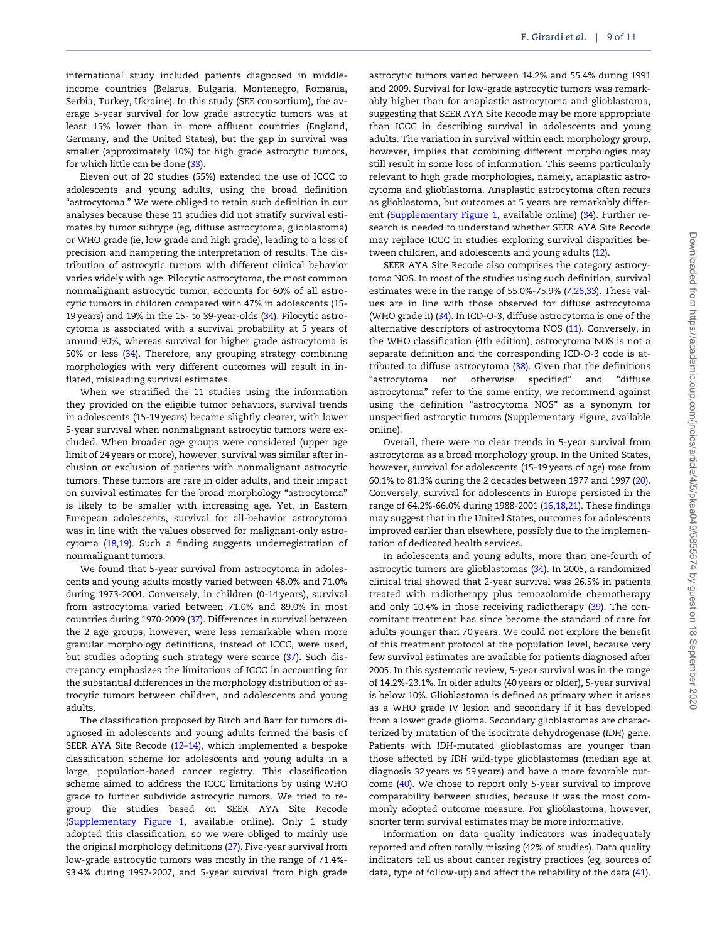international study included patients diagnosed in middleincome countries (Belarus, Bulgaria, Montenegro, Romania, Serbia, Turkey, Ukraine). In this study (SEE consortium), the average 5-year survival for low grade astrocytic tumors was at least 15% lower than in more affluent countries (England, Germany, and the United States), but the gap in survival was smaller (approximately 10%) for high grade astrocytic tumors, for which little can be done [\(33](#page-10-0)).

Eleven out of 20 studies (55%) extended the use of ICCC to adolescents and young adults, using the broad definition "astrocytoma." We were obliged to retain such definition in our analyses because these 11 studies did not stratify survival estimates by tumor subtype (eg, diffuse astrocytoma, glioblastoma) or WHO grade (ie, low grade and high grade), leading to a loss of precision and hampering the interpretation of results. The distribution of astrocytic tumors with different clinical behavior varies widely with age. Pilocytic astrocytoma, the most common nonmalignant astrocytic tumor, accounts for 60% of all astrocytic tumors in children compared with 47% in adolescents (15- 19 years) and 19% in the 15- to 39-year-olds [\(34](#page-10-0)). Pilocytic astrocytoma is associated with a survival probability at 5 years of around 90%, whereas survival for higher grade astrocytoma is 50% or less [\(34\)](#page-10-0). Therefore, any grouping strategy combining morphologies with very different outcomes will result in inflated, misleading survival estimates.

When we stratified the 11 studies using the information they provided on the eligible tumor behaviors, survival trends in adolescents (15-19 years) became slightly clearer, with lower 5-year survival when nonmalignant astrocytic tumors were excluded. When broader age groups were considered (upper age limit of 24 years or more), however, survival was similar after inclusion or exclusion of patients with nonmalignant astrocytic tumors. These tumors are rare in older adults, and their impact on survival estimates for the broad morphology "astrocytoma" is likely to be smaller with increasing age. Yet, in Eastern European adolescents, survival for all-behavior astrocytoma was in line with the values observed for malignant-only astrocytoma [\(18,19](#page-10-0)). Such a finding suggests underregistration of nonmalignant tumors.

We found that 5-year survival from astrocytoma in adolescents and young adults mostly varied between 48.0% and 71.0% during 1973-2004. Conversely, in children (0-14 years), survival from astrocytoma varied between 71.0% and 89.0% in most countries during 1970-2009 [\(37](#page-10-0)). Differences in survival between the 2 age groups, however, were less remarkable when more granular morphology definitions, instead of ICCC, were used, but studies adopting such strategy were scarce ([37](#page-10-0)). Such discrepancy emphasizes the limitations of ICCC in accounting for the substantial differences in the morphology distribution of astrocytic tumors between children, and adolescents and young adults.

The classification proposed by Birch and Barr for tumors diagnosed in adolescents and young adults formed the basis of SEER AYA Site Recode [\(12–14\)](#page-10-0), which implemented a bespoke classification scheme for adolescents and young adults in a large, population-based cancer registry. This classification scheme aimed to address the ICCC limitations by using WHO grade to further subdivide astrocytic tumors. We tried to regroup the studies based on SEER AYA Site Recode (Supplementary Figure 1, available online). Only 1 study adopted this classification, so we were obliged to mainly use the original morphology definitions [\(27](#page-10-0)). Five-year survival from low-grade astrocytic tumors was mostly in the range of 71.4%- 93.4% during 1997-2007, and 5-year survival from high grade

astrocytic tumors varied between 14.2% and 55.4% during 1991 and 2009. Survival for low-grade astrocytic tumors was remarkably higher than for anaplastic astrocytoma and glioblastoma, suggesting that SEER AYA Site Recode may be more appropriate than ICCC in describing survival in adolescents and young adults. The variation in survival within each morphology group, however, implies that combining different morphologies may still result in some loss of information. This seems particularly relevant to high grade morphologies, namely, anaplastic astrocytoma and glioblastoma. Anaplastic astrocytoma often recurs as glioblastoma, but outcomes at 5 years are remarkably different (Supplementary Figure 1, available online) ([34\)](#page-10-0). Further research is needed to understand whether SEER AYA Site Recode may replace ICCC in studies exploring survival disparities between children, and adolescents and young adults [\(12\)](#page-10-0).

SEER AYA Site Recode also comprises the category astrocytoma NOS. In most of the studies using such definition, survival estimates were in the range of 55.0%-75.9% ([7,](#page-9-0)[26,33](#page-10-0)). These values are in line with those observed for diffuse astrocytoma (WHO grade II) [\(34](#page-10-0)). In ICD-O-3, diffuse astrocytoma is one of the alternative descriptors of astrocytoma NOS [\(11\)](#page-10-0). Conversely, in the WHO classification (4th edition), astrocytoma NOS is not a separate definition and the corresponding ICD-O-3 code is attributed to diffuse astrocytoma [\(38\)](#page-10-0). Given that the definitions "astrocytoma not otherwise specified" and "diffuse astrocytoma" refer to the same entity, we recommend against using the definition "astrocytoma NOS" as a synonym for unspecified astrocytic tumors (Supplementary Figure, available online).

Overall, there were no clear trends in 5-year survival from astrocytoma as a broad morphology group. In the United States, however, survival for adolescents (15-19 years of age) rose from 60.1% to 81.3% during the 2 decades between 1977 and 1997 ([20](#page-10-0)). Conversely, survival for adolescents in Europe persisted in the range of 64.2%-66.0% during 1988-2001 [\(16,18,21](#page-10-0)). These findings may suggest that in the United States, outcomes for adolescents improved earlier than elsewhere, possibly due to the implementation of dedicated health services.

In adolescents and young adults, more than one-fourth of astrocytic tumors are glioblastomas ([34\)](#page-10-0). In 2005, a randomized clinical trial showed that 2-year survival was 26.5% in patients treated with radiotherapy plus temozolomide chemotherapy and only 10.4% in those receiving radiotherapy ([39](#page-10-0)). The concomitant treatment has since become the standard of care for adults younger than 70 years. We could not explore the benefit of this treatment protocol at the population level, because very few survival estimates are available for patients diagnosed after 2005. In this systematic review, 5-year survival was in the range of 14.2%-23.1%. In older adults (40 years or older), 5-year survival is below 10%. Glioblastoma is defined as primary when it arises as a WHO grade IV lesion and secondary if it has developed from a lower grade glioma. Secondary glioblastomas are characterized by mutation of the isocitrate dehydrogenase (IDH) gene. Patients with IDH-mutated glioblastomas are younger than those affected by IDH wild-type glioblastomas (median age at diagnosis 32 years vs 59 years) and have a more favorable outcome ([40](#page-10-0)). We chose to report only 5-year survival to improve comparability between studies, because it was the most commonly adopted outcome measure. For glioblastoma, however, shorter term survival estimates may be more informative.

Information on data quality indicators was inadequately reported and often totally missing (42% of studies). Data quality indicators tell us about cancer registry practices (eg, sources of data, type of follow-up) and affect the reliability of the data ([41](#page-10-0)).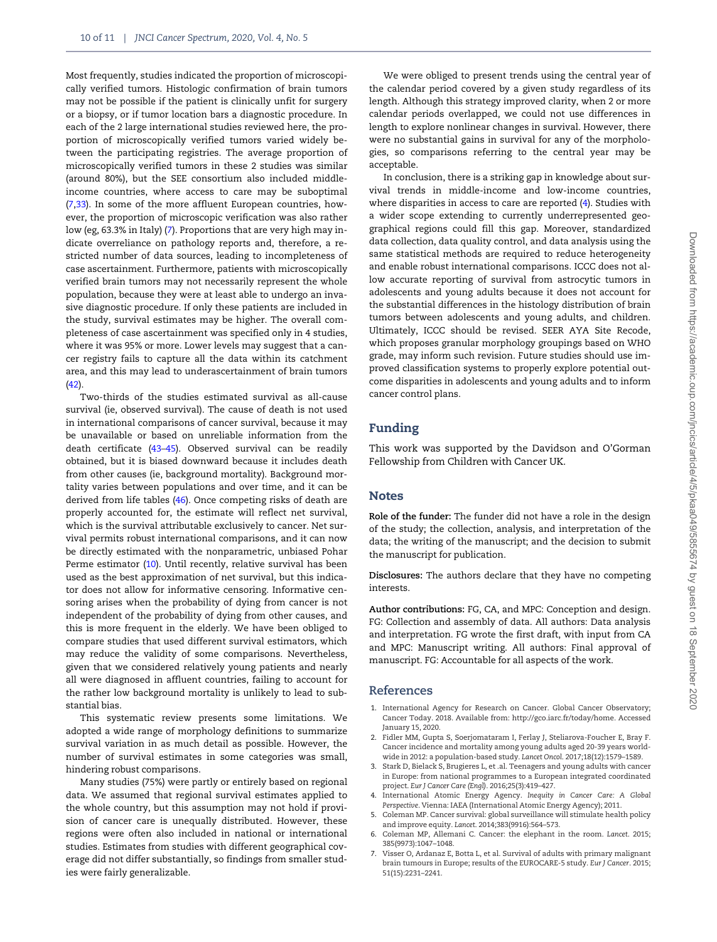<span id="page-9-0"></span>Most frequently, studies indicated the proportion of microscopically verified tumors. Histologic confirmation of brain tumors may not be possible if the patient is clinically unfit for surgery or a biopsy, or if tumor location bars a diagnostic procedure. In each of the 2 large international studies reviewed here, the proportion of microscopically verified tumors varied widely between the participating registries. The average proportion of microscopically verified tumors in these 2 studies was similar (around 80%), but the SEE consortium also included middleincome countries, where access to care may be suboptimal (7[,33](#page-10-0)). In some of the more affluent European countries, however, the proportion of microscopic verification was also rather low (eg, 63.3% in Italy) (7). Proportions that are very high may indicate overreliance on pathology reports and, therefore, a restricted number of data sources, leading to incompleteness of case ascertainment. Furthermore, patients with microscopically verified brain tumors may not necessarily represent the whole population, because they were at least able to undergo an invasive diagnostic procedure. If only these patients are included in the study, survival estimates may be higher. The overall completeness of case ascertainment was specified only in 4 studies, where it was 95% or more. Lower levels may suggest that a cancer registry fails to capture all the data within its catchment area, and this may lead to underascertainment of brain tumors ([42](#page-10-0)).

Two-thirds of the studies estimated survival as all-cause survival (ie, observed survival). The cause of death is not used in international comparisons of cancer survival, because it may be unavailable or based on unreliable information from the death certificate ([43](#page-10-0)–[45](#page-10-0)). Observed survival can be readily obtained, but it is biased downward because it includes death from other causes (ie, background mortality). Background mortality varies between populations and over time, and it can be derived from life tables ([46](#page-10-0)). Once competing risks of death are properly accounted for, the estimate will reflect net survival, which is the survival attributable exclusively to cancer. Net survival permits robust international comparisons, and it can now be directly estimated with the nonparametric, unbiased Pohar Perme estimator [\(10\)](#page-10-0). Until recently, relative survival has been used as the best approximation of net survival, but this indicator does not allow for informative censoring. Informative censoring arises when the probability of dying from cancer is not independent of the probability of dying from other causes, and this is more frequent in the elderly. We have been obliged to compare studies that used different survival estimators, which may reduce the validity of some comparisons. Nevertheless, given that we considered relatively young patients and nearly all were diagnosed in affluent countries, failing to account for the rather low background mortality is unlikely to lead to substantial bias.

This systematic review presents some limitations. We adopted a wide range of morphology definitions to summarize survival variation in as much detail as possible. However, the number of survival estimates in some categories was small, hindering robust comparisons.

Many studies (75%) were partly or entirely based on regional data. We assumed that regional survival estimates applied to the whole country, but this assumption may not hold if provision of cancer care is unequally distributed. However, these regions were often also included in national or international studies. Estimates from studies with different geographical coverage did not differ substantially, so findings from smaller studies were fairly generalizable.

We were obliged to present trends using the central year of the calendar period covered by a given study regardless of its length. Although this strategy improved clarity, when 2 or more calendar periods overlapped, we could not use differences in length to explore nonlinear changes in survival. However, there were no substantial gains in survival for any of the morphologies, so comparisons referring to the central year may be acceptable.

In conclusion, there is a striking gap in knowledge about survival trends in middle-income and low-income countries, where disparities in access to care are reported (4). Studies with a wider scope extending to currently underrepresented geographical regions could fill this gap. Moreover, standardized data collection, data quality control, and data analysis using the same statistical methods are required to reduce heterogeneity and enable robust international comparisons. ICCC does not allow accurate reporting of survival from astrocytic tumors in adolescents and young adults because it does not account for the substantial differences in the histology distribution of brain tumors between adolescents and young adults, and children. Ultimately, ICCC should be revised. SEER AYA Site Recode, which proposes granular morphology groupings based on WHO grade, may inform such revision. Future studies should use improved classification systems to properly explore potential outcome disparities in adolescents and young adults and to inform cancer control plans.

## Funding

This work was supported by the Davidson and O'Gorman Fellowship from Children with Cancer UK.

### **Notes**

Role of the funder: The funder did not have a role in the design of the study; the collection, analysis, and interpretation of the data; the writing of the manuscript; and the decision to submit the manuscript for publication.

Disclosures: The authors declare that they have no competing interests.

Author contributions: FG, CA, and MPC: Conception and design. FG: Collection and assembly of data. All authors: Data analysis and interpretation. FG wrote the first draft, with input from CA and MPC: Manuscript writing. All authors: Final approval of manuscript. FG: Accountable for all aspects of the work.

#### References

- 1. International Agency for Research on Cancer. Global Cancer Observatory; Cancer Today. 2018. Available from:<http://gco.iarc.fr/today/home>. Accessed January 15, 2020.
- 2. Fidler MM, Gupta S, Soerjomataram I, Ferlay J, Steliarova-Foucher E, Bray F. Cancer incidence and mortality among young adults aged 20-39 years worldwide in 2012: a population-based study. Lancet Oncol. 2017;18(12):1579–1589.
- 3. Stark D, Bielack S, Brugieres L, et .al. Teenagers and young adults with cancer in Europe: from national programmes to a European integrated coordinated project. Eur J Cancer Care (Engl). 2016;25(3):419–427.
- 4. International Atomic Energy Agency. Inequity in Cancer Care: A Global Perspective. Vienna: IAEA (International Atomic Energy Agency); 2011.
- 5. Coleman MP. Cancer survival: global surveillance will stimulate health policy and improve equity. Lancet. 2014;383(9916):564–573.
- 6. Coleman MP, Allemani C. Cancer: the elephant in the room. Lancet. 2015; 385(9973):1047–1048.
- 7. Visser O, Ardanaz E, Botta L, et al. Survival of adults with primary malignant brain tumours in Europe; results of the EUROCARE-5 study. Eur J Cancer. 2015; 51(15):2231–2241.